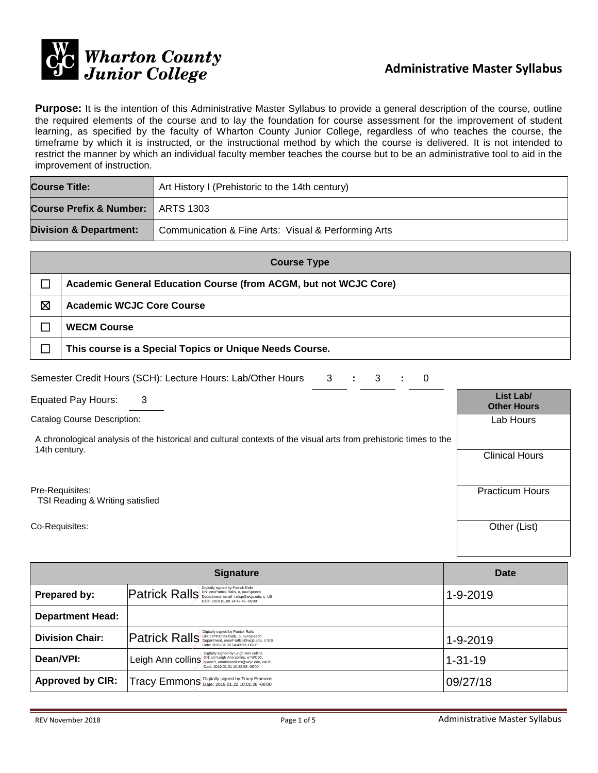

**Purpose:** It is the intention of this Administrative Master Syllabus to provide a general description of the course, outline the required elements of the course and to lay the foundation for course assessment for the improvement of student learning, as specified by the faculty of Wharton County Junior College, regardless of who teaches the course, the timeframe by which it is instructed, or the instructional method by which the course is delivered. It is not intended to restrict the manner by which an individual faculty member teaches the course but to be an administrative tool to aid in the improvement of instruction.

| <b>Course Title:</b>                | Art History I (Prehistoric to the 14th century)     |  |
|-------------------------------------|-----------------------------------------------------|--|
| Course Prefix & Number:   ARTS 1303 |                                                     |  |
| <b>Division &amp; Department:</b>   | Communication & Fine Arts: Visual & Performing Arts |  |

| <b>Course Type</b> |                                                                  |  |
|--------------------|------------------------------------------------------------------|--|
|                    | Academic General Education Course (from ACGM, but not WCJC Core) |  |
| ⊠                  | <b>Academic WCJC Core Course</b>                                 |  |
|                    | <b>WECM Course</b>                                               |  |
|                    | This course is a Special Topics or Unique Needs Course.          |  |

| Semester Credit Hours (SCH): Lecture Hours: Lab/Other Hours 3 : 3 : 0 |  |  |  |  |  |
|-----------------------------------------------------------------------|--|--|--|--|--|
|-----------------------------------------------------------------------|--|--|--|--|--|

Equated Pay Hours: 3 **List Lab/**

Catalog Course Description:

A chronological analysis of the historical and cultural contexts of the visual arts from prehistoric times to the 14th century.

Pre-Requisites:

TSI Reading & Writing satisfied

Co-Requisites: Other (List)

|                         | <b>Date</b>                                                                                                                                    |               |
|-------------------------|------------------------------------------------------------------------------------------------------------------------------------------------|---------------|
| Prepared by:            | $\left\  \mathsf{Patrick}\right\  \mathsf{BallS}\right\ _{\mathsf{Desparation},\text{the } \mathsf{All}}$<br>Date: 2019.01.09 14:42:46 -06'00' | 1-9-2019      |
| <b>Department Head:</b> |                                                                                                                                                |               |
| <b>Division Chair:</b>  | Date: 2019.01.09 14:43:23 -06'00'                                                                                                              | 1-9-2019      |
| Dean/VPI:               | Digitally signed by Leigh Ann collins<br>Leigh Ann collins DN: Cn=Leigh Ann collins, o=WCJC,<br>Date: 2019.01.31 10:22:58 -06'00'              | $1 - 31 - 19$ |
| <b>Approved by CIR:</b> | Tracy Emmons Digitally signed by Tracy Emmons                                                                                                  | 09/27/18      |

**Other Hours**

Lab Hours

Clinical Hours

Practicum Hours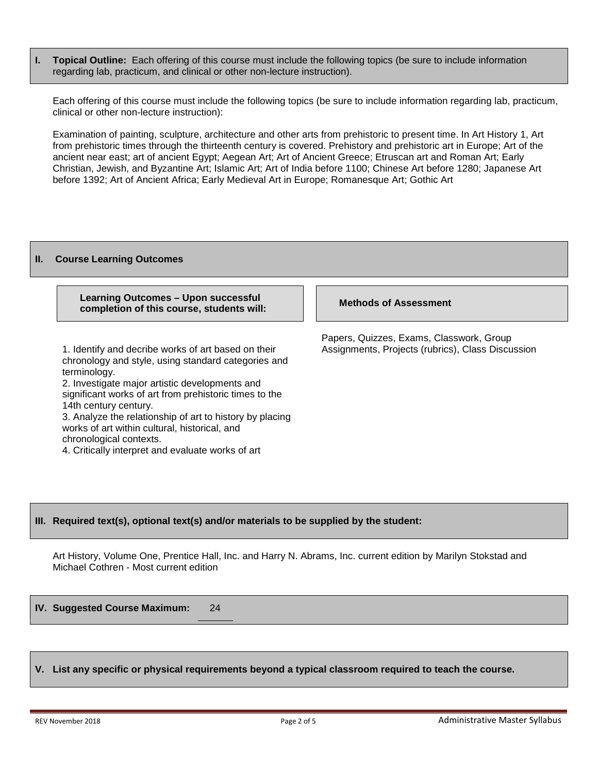**I. Topical Outline:** Each offering of this course must include the following topics (be sure to include information regarding lab, practicum, and clinical or other non-lecture instruction).

Each offering of this course must include the following topics (be sure to include information regarding lab, practicum, clinical or other non-lecture instruction):

Examination of painting, sculpture, architecture and other arts from prehistoric to present time. In Art History 1, Art from prehistoric times through the thirteenth century is covered. Prehistory and prehistoric art in Europe; Art of the ancient near east; art of ancient Egypt; Aegean Art; Art of Ancient Greece; Etruscan art and Roman Art; Early Christian, Jewish, and Byzantine Art; Islamic Art; Art of India before 1100; Chinese Art before 1280; Japanese Art before 1392; Art of Ancient Africa; Early Medieval Art in Europe; Romanesque Art; Gothic Art

#### **II. Course Learning Outcomes**

### **Learning Outcomes – Upon successful completion of this course, students will: Methods of Assessment**

1. Identify and decribe works of art based on their chronology and style, using standard categories and terminology.

2. Investigate major artistic developments and significant works of art from prehistoric times to the 14th century century.

3. Analyze the relationship of art to history by placing works of art within cultural, historical, and chronological contexts.

4. Critically interpret and evaluate works of art

Papers, Quizzes, Exams, Classwork, Group Assignments, Projects (rubrics), Class Discussion

# **III. Required text(s), optional text(s) and/or materials to be supplied by the student:**

Art History, Volume One, Prentice Hall, Inc. and Harry N. Abrams, Inc. current edition by Marilyn Stokstad and Michael Cothren - Most current edition

**IV. Suggested Course Maximum:** 24

# **V. List any specific or physical requirements beyond a typical classroom required to teach the course.**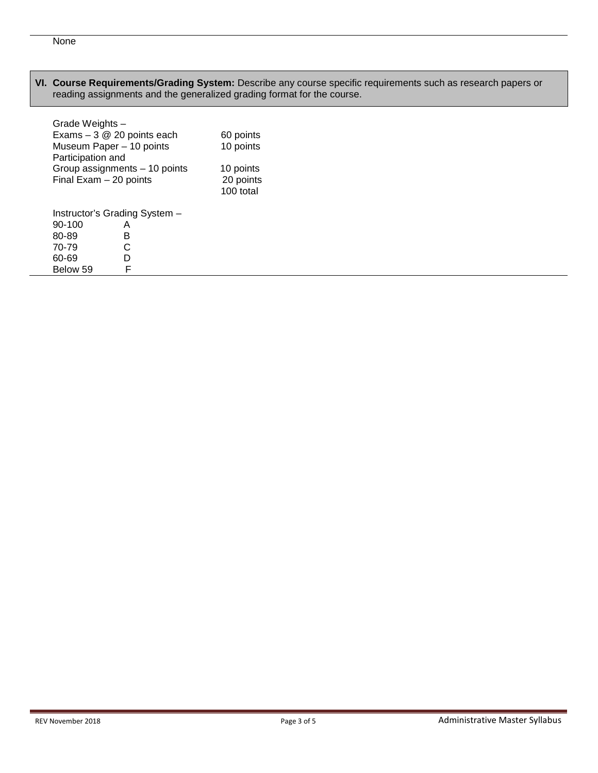### **VI. Course Requirements/Grading System:** Describe any course specific requirements such as research papers or reading assignments and the generalized grading format for the course.

| Grade Weights -               |           |           |  |  |  |
|-------------------------------|-----------|-----------|--|--|--|
| Exams $-3$ @ 20 points each   | 60 points |           |  |  |  |
| Museum Paper - 10 points      | 10 points |           |  |  |  |
| Participation and             |           |           |  |  |  |
| Group assignments - 10 points | 10 points |           |  |  |  |
| Final $Exam - 20$ points      | 20 points |           |  |  |  |
|                               |           | 100 total |  |  |  |
|                               |           |           |  |  |  |
| Instructor's Grading System - |           |           |  |  |  |
| 90-100                        | А         |           |  |  |  |
| 80-89                         | B         |           |  |  |  |
| 70-79                         | C         |           |  |  |  |
| 60-69                         | D         |           |  |  |  |
| Below 59                      | F         |           |  |  |  |